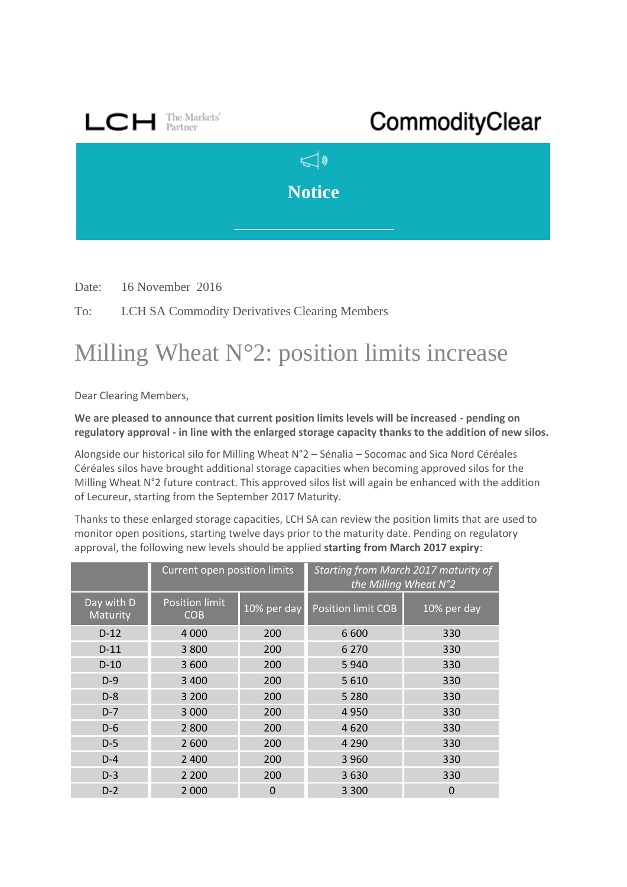

Date: 16 November 2016

To: LCH SA Commodity Derivatives Clearing Members

## Milling Wheat N°2: position limits increase

Dear Clearing Members,

**We are pleased to announce that current position limits levels will be increased - pending on regulatory approval - in line with the enlarged storage capacity thanks to the addition of new silos.**

Alongside our historical silo for Milling Wheat N°2 – Sénalia – Socomac and Sica Nord Céréales Céréales silos have brought additional storage capacities when becoming approved silos for the Milling Wheat N°2 future contract. This approved silos list will again be enhanced with the addition of Lecureur, starting from the September 2017 Maturity.

Thanks to these enlarged storage capacities, LCH SA can review the position limits that are used to monitor open positions, starting twelve days prior to the maturity date. Pending on regulatory approval, the following new levels should be applied **starting from March 2017 expiry**:

|                        | Current open position limits        |             | Starting from March 2017 maturity of<br>the Milling Wheat N°2 |             |
|------------------------|-------------------------------------|-------------|---------------------------------------------------------------|-------------|
| Day with D<br>Maturity | <b>Position limit</b><br><b>COB</b> | 10% per day | <b>Position limit COB</b>                                     | 10% per day |
| $D-12$                 | 4 0 0 0                             | 200         | 6 600                                                         | 330         |
| $D-11$                 | 3 800                               | 200         | 6 2 7 0                                                       | 330         |
| $D-10$                 | 3 600                               | 200         | 5 9 4 0                                                       | 330         |
| $D-9$                  | 3 4 0 0                             | 200         | 5 6 1 0                                                       | 330         |
| $D-8$                  | 3 200                               | 200         | 5 2 8 0                                                       | 330         |
| $D-7$                  | 3 0 0 0                             | 200         | 4 9 5 0                                                       | 330         |
| $D-6$                  | 2 8 0 0                             | 200         | 4620                                                          | 330         |
| $D-5$                  | 2 600                               | 200         | 4 2 9 0                                                       | 330         |
| $D-4$                  | 2 4 0 0                             | 200         | 3 9 6 0                                                       | 330         |
| $D-3$                  | 2 2 0 0                             | 200         | 3630                                                          | 330         |
| $D-2$                  | 2 0 0 0                             | 0           | 3 3 0 0                                                       | 0           |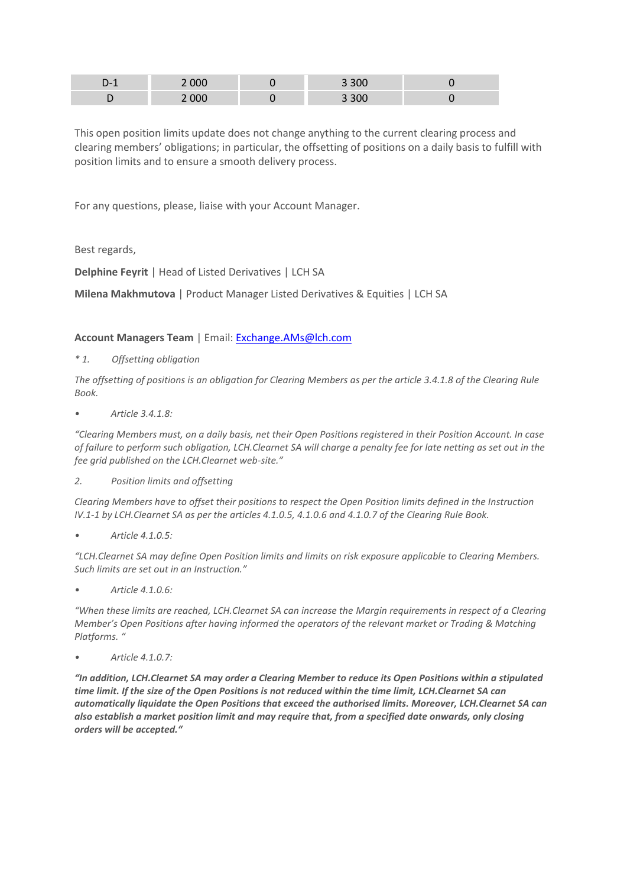| . . | 000   | 3 3 0 0 |  |
|-----|-------|---------|--|
| ◡   | 2 000 | 3 3 0 0 |  |

This open position limits update does not change anything to the current clearing process and clearing members' obligations; in particular, the offsetting of positions on a daily basis to fulfill with position limits and to ensure a smooth delivery process.

For any questions, please, liaise with your Account Manager.

Best regards,

**Delphine Feyrit** | Head of Listed Derivatives | LCH SA

**Milena Makhmutova** | Product Manager Listed Derivatives & Equities | LCH SA

## **Account Managers Team** | Email: [Exchange.AMs@lch.com](mailto:Exchange.AMs@lch.com)

*\* 1. Offsetting obligation*

*The offsetting of positions is an obligation for Clearing Members as per the article 3.4.1.8 of the Clearing Rule Book.*

*• Article 3.4.1.8:*

*"Clearing Members must, on a daily basis, net their Open Positions registered in their Position Account. In case of failure to perform such obligation, LCH.Clearnet SA will charge a penalty fee for late netting as set out in the fee grid published on the LCH.Clearnet web-site."*

*2. Position limits and offsetting*

*Clearing Members have to offset their positions to respect the Open Position limits defined in the Instruction IV.1-1 by LCH.Clearnet SA as per the articles 4.1.0.5, 4.1.0.6 and 4.1.0.7 of the Clearing Rule Book.*

*• Article 4.1.0.5:*

*"LCH.Clearnet SA may define Open Position limits and limits on risk exposure applicable to Clearing Members. Such limits are set out in an Instruction."*

*• Article 4.1.0.6:*

*"When these limits are reached, LCH.Clearnet SA can increase the Margin requirements in respect of a Clearing Member's Open Positions after having informed the operators of the relevant market or Trading & Matching Platforms. "*

*• Article 4.1.0.7:*

*"In addition, LCH.Clearnet SA may order a Clearing Member to reduce its Open Positions within a stipulated time limit. If the size of the Open Positions is not reduced within the time limit, LCH.Clearnet SA can automatically liquidate the Open Positions that exceed the authorised limits. Moreover, LCH.Clearnet SA can also establish a market position limit and may require that, from a specified date onwards, only closing orders will be accepted."*